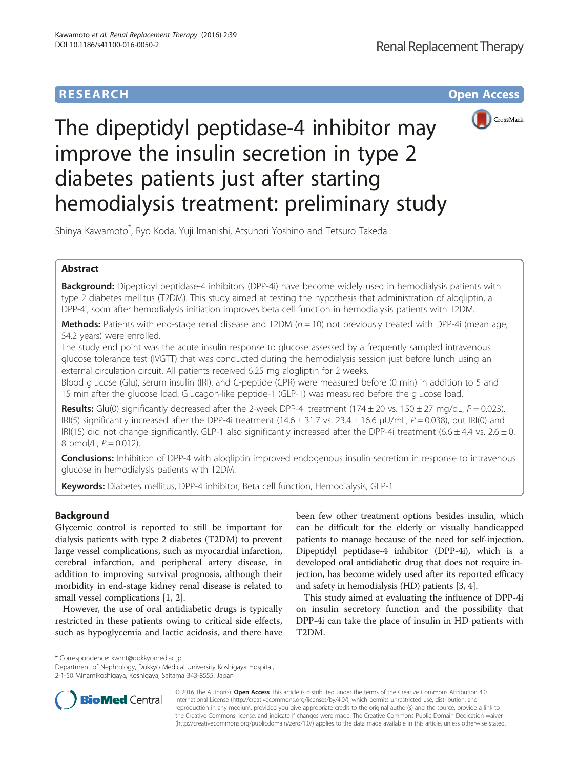# **RESEARCH CHE Open Access**



# The dipeptidyl peptidase-4 inhibitor may improve the insulin secretion in type 2 diabetes patients just after starting hemodialysis treatment: preliminary study

Shinya Kawamoto\* , Ryo Koda, Yuji Imanishi, Atsunori Yoshino and Tetsuro Takeda

# Abstract

Background: Dipeptidyl peptidase-4 inhibitors (DPP-4i) have become widely used in hemodialysis patients with type 2 diabetes mellitus (T2DM). This study aimed at testing the hypothesis that administration of alogliptin, a DPP-4i, soon after hemodialysis initiation improves beta cell function in hemodialysis patients with T2DM.

**Methods:** Patients with end-stage renal disease and T2DM ( $n = 10$ ) not previously treated with DPP-4i (mean age, 54.2 years) were enrolled.

The study end point was the acute insulin response to glucose assessed by a frequently sampled intravenous glucose tolerance test (IVGTT) that was conducted during the hemodialysis session just before lunch using an external circulation circuit. All patients received 6.25 mg alogliptin for 2 weeks.

Blood glucose (Glu), serum insulin (IRI), and C-peptide (CPR) were measured before (0 min) in addition to 5 and 15 min after the glucose load. Glucagon-like peptide-1 (GLP-1) was measured before the glucose load.

**Results:** Glu(0) significantly decreased after the 2-week DPP-4i treatment (174 ± 20 vs. 150 ± 27 mg/dL,  $P = 0.023$ ). IRI(5) significantly increased after the DPP-4i treatment (14.6 ± 31.7 vs. 23.4 ± 16.6 μU/mL,  $P = 0.038$ ), but IRI(0) and IRI(15) did not change significantly. GLP-1 also significantly increased after the DPP-4i treatment (6.6  $\pm$  4.4 vs. 2.6  $\pm$  0. 8 pmol/L,  $P = 0.012$ ).

**Conclusions:** Inhibition of DPP-4 with alogliptin improved endogenous insulin secretion in response to intravenous glucose in hemodialysis patients with T2DM.

Keywords: Diabetes mellitus, DPP-4 inhibitor, Beta cell function, Hemodialysis, GLP-1

# Background

Glycemic control is reported to still be important for dialysis patients with type 2 diabetes (T2DM) to prevent large vessel complications, such as myocardial infarction, cerebral infarction, and peripheral artery disease, in addition to improving survival prognosis, although their morbidity in end-stage kidney renal disease is related to small vessel complications [\[1](#page-3-0), [2](#page-3-0)].

However, the use of oral antidiabetic drugs is typically restricted in these patients owing to critical side effects, such as hypoglycemia and lactic acidosis, and there have

been few other treatment options besides insulin, which can be difficult for the elderly or visually handicapped patients to manage because of the need for self-injection. Dipeptidyl peptidase-4 inhibitor (DPP-4i), which is a developed oral antidiabetic drug that does not require injection, has become widely used after its reported efficacy and safety in hemodialysis (HD) patients [\[3, 4](#page-3-0)].

This study aimed at evaluating the influence of DPP-4i on insulin secretory function and the possibility that DPP-4i can take the place of insulin in HD patients with T2DM.

\* Correspondence: [kwmt@dokkyomed.ac.jp](mailto:kwmt@dokkyomed.ac.jp)

Department of Nephrology, Dokkyo Medical University Koshigaya Hospital, 2-1-50 Minamikoshigaya, Koshigaya, Saitama 343-8555, Japan



© 2016 The Author(s). Open Access This article is distributed under the terms of the Creative Commons Attribution 4.0 International License [\(http://creativecommons.org/licenses/by/4.0/](http://creativecommons.org/licenses/by/4.0/)), which permits unrestricted use, distribution, and reproduction in any medium, provided you give appropriate credit to the original author(s) and the source, provide a link to the Creative Commons license, and indicate if changes were made. The Creative Commons Public Domain Dedication waiver [\(http://creativecommons.org/publicdomain/zero/1.0/](http://creativecommons.org/publicdomain/zero/1.0/)) applies to the data made available in this article, unless otherwise stated.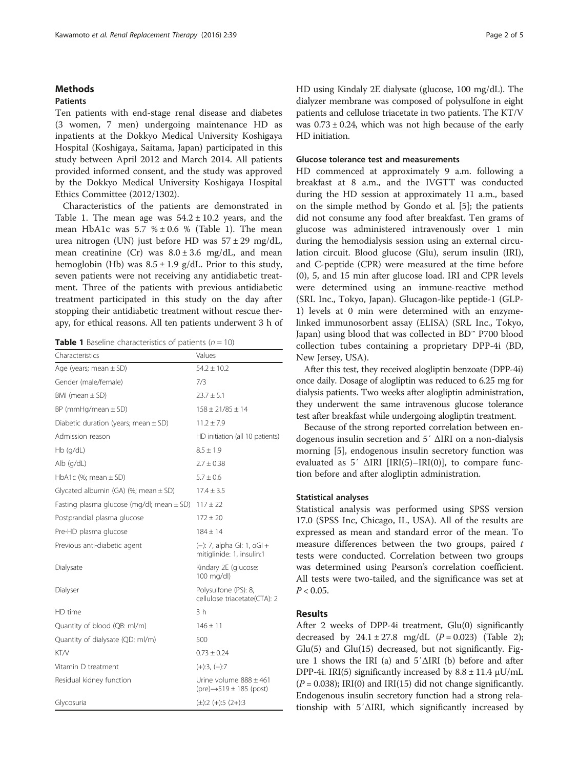## Methods

## Patients

Ten patients with end-stage renal disease and diabetes (3 women, 7 men) undergoing maintenance HD as inpatients at the Dokkyo Medical University Koshigaya Hospital (Koshigaya, Saitama, Japan) participated in this study between April 2012 and March 2014. All patients provided informed consent, and the study was approved by the Dokkyo Medical University Koshigaya Hospital Ethics Committee (2012/1302).

Characteristics of the patients are demonstrated in Table 1. The mean age was  $54.2 \pm 10.2$  years, and the mean HbA1c was  $5.7 % \pm 0.6 %$  (Table 1). The mean urea nitrogen (UN) just before HD was  $57 \pm 29$  mg/dL, mean creatinine (Cr) was  $8.0 \pm 3.6$  mg/dL, and mean hemoglobin (Hb) was  $8.5 \pm 1.9$  g/dL. Prior to this study, seven patients were not receiving any antidiabetic treatment. Three of the patients with previous antidiabetic treatment participated in this study on the day after stopping their antidiabetic treatment without rescue therapy, for ethical reasons. All ten patients underwent 3 h of

**Table 1** Baseline characteristics of patients ( $n = 10$ )

| Characteristics                               | Values                                                                  |  |
|-----------------------------------------------|-------------------------------------------------------------------------|--|
| Age (years; mean $\pm$ SD)                    | $54.2 \pm 10.2$                                                         |  |
| Gender (male/female)                          | 7/3                                                                     |  |
| BMI (mean $\pm$ SD)                           | $23.7 \pm 5.1$                                                          |  |
| $BP$ (mmHg/mean $\pm$ SD)                     | $158 \pm 21/85 \pm 14$                                                  |  |
| Diabetic duration (years; mean $\pm$ SD)      | $11.2 + 7.9$                                                            |  |
| Admission reason                              | HD initiation (all 10 patients)                                         |  |
| $Hb$ (q/dL)                                   | $8.5 + 1.9$                                                             |  |
| Alb (g/dL)                                    | $2.7 + 0.38$                                                            |  |
| HbA1c $%$ ; mean $\pm$ SD)                    | $5.7 \pm 0.6$                                                           |  |
| Glycated albumin (GA) (%; mean $\pm$ SD)      | $17.4 + 3.5$                                                            |  |
| Fasting plasma glucose (mg/dl; mean $\pm$ SD) | $117 \pm 22$                                                            |  |
| Postprandial plasma glucose                   | 172 ± 20                                                                |  |
| Pre-HD plasma glucose                         | $184 + 14$                                                              |  |
| Previous anti-diabetic agent                  | (-): 7, alpha Gl: 1, aGl +<br>mitiglinide: 1, insulin:1                 |  |
| Dialysate                                     | Kindary 2E (glucose:<br>100 mg/dl)                                      |  |
| Dialyser                                      | Polysulfone (PS): 8,<br>cellulose triacetate(CTA): 2                    |  |
| HD time                                       | 3 h                                                                     |  |
| Quantity of blood (QB: ml/m)                  | $146 \pm 11$                                                            |  |
| Quantity of dialysate (QD: ml/m)              | 500                                                                     |  |
| KT/V                                          | $0.73 \pm 0.24$                                                         |  |
| Vitamin D treatment                           | $(+):3, (-):7$                                                          |  |
| Residual kidney function                      | Urine volume 888 ± 461<br>$(\text{pre}) \rightarrow 519 \pm 185$ (post) |  |
| Glycosuria                                    | $(\pm)$ :2 (+):5 (2+):3                                                 |  |

HD using Kindaly 2E dialysate (glucose, 100 mg/dL). The dialyzer membrane was composed of polysulfone in eight patients and cellulose triacetate in two patients. The KT/V was  $0.73 \pm 0.24$ , which was not high because of the early HD initiation.

#### Glucose tolerance test and measurements

HD commenced at approximately 9 a.m. following a breakfast at 8 a.m., and the IVGTT was conducted during the HD session at approximately 11 a.m., based on the simple method by Gondo et al. [\[5](#page-3-0)]; the patients did not consume any food after breakfast. Ten grams of glucose was administered intravenously over 1 min during the hemodialysis session using an external circulation circuit. Blood glucose (Glu), serum insulin (IRI), and C-peptide (CPR) were measured at the time before (0), 5, and 15 min after glucose load. IRI and CPR levels were determined using an immune-reactive method (SRL Inc., Tokyo, Japan). Glucagon-like peptide-1 (GLP-1) levels at 0 min were determined with an enzymelinked immunosorbent assay (ELISA) (SRL Inc., Tokyo, Japan) using blood that was collected in BD™ P700 blood collection tubes containing a proprietary DPP-4i (BD, New Jersey, USA).

After this test, they received alogliptin benzoate (DPP-4i) once daily. Dosage of alogliptin was reduced to 6.25 mg for dialysis patients. Two weeks after alogliptin administration, they underwent the same intravenous glucose tolerance test after breakfast while undergoing alogliptin treatment.

Because of the strong reported correlation between endogenous insulin secretion and 5′ ΔIRI on a non-dialysis morning [[5\]](#page-3-0), endogenous insulin secretory function was evaluated as  $5'$   $\triangle$ IRI [IRI(5)–IRI(0)], to compare function before and after alogliptin administration.

#### Statistical analyses

Statistical analysis was performed using SPSS version 17.0 (SPSS Inc, Chicago, IL, USA). All of the results are expressed as mean and standard error of the mean. To measure differences between the two groups, paired  $t$ tests were conducted. Correlation between two groups was determined using Pearson's correlation coefficient. All tests were two-tailed, and the significance was set at  $P < 0.05$ .

## Results

After 2 weeks of DPP-4i treatment, Glu(0) significantly decreased by  $24.1 \pm 27.8$  $24.1 \pm 27.8$  $24.1 \pm 27.8$  mg/dL  $(P = 0.023)$  (Table 2); Glu(5) and Glu(15) decreased, but not significantly. Figure [1](#page-2-0) shows the IRI (a) and 5′ΔIRI (b) before and after DPP-4i. IRI(5) significantly increased by  $8.8 \pm 11.4 \mu U/mL$  $(P = 0.038)$ ; IRI(0) and IRI(15) did not change significantly. Endogenous insulin secretory function had a strong relationship with 5′ΔIRI, which significantly increased by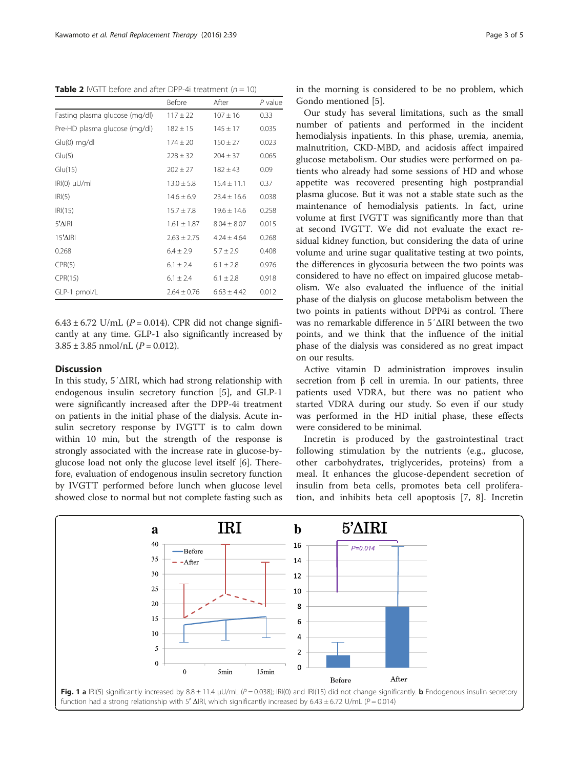<span id="page-2-0"></span>**Table 2** IVGTT before and after DPP-4i treatment  $(n = 10)$ 

|                                | Before          | After           | $P$ value |
|--------------------------------|-----------------|-----------------|-----------|
| Fasting plasma glucose (mg/dl) | $117 \pm 22$    | $107 \pm 16$    | 0.33      |
| Pre-HD plasma glucose (mg/dl)  | $182 \pm 15$    | $145 \pm 17$    | 0.035     |
| $Glu(0)$ mg/dl                 | $174 \pm 20$    | $150 \pm 27$    | 0.023     |
| Glu(5)                         | $228 \pm 32$    | $204 \pm 37$    | 0.065     |
| Glu(15)                        | $202 \pm 27$    | $182 \pm 43$    | 0.09      |
| $IRI(0)$ $\mu$ U/ml            | $13.0 \pm 5.8$  | $15.4 \pm 11.1$ | 0.37      |
| IRI(5)                         | $14.6 \pm 6.9$  | $23.4 \pm 16.6$ | 0.038     |
| IRI(15)                        | $15.7 \pm 7.8$  | $19.6 \pm 14.6$ | 0.258     |
| $5^{\prime}$ $\Delta$ IRI      | $1.61 \pm 1.87$ | $8.04 \pm 8.07$ | 0.015     |
| $15'$ AIRI                     | $2.63 \pm 2.75$ | $4.24 \pm 4.64$ | 0.268     |
| 0.268                          | $6.4 \pm 2.9$   | $5.7 \pm 2.9$   | 0.408     |
| CPR(5)                         | $6.1 \pm 2.4$   | $6.1 \pm 2.8$   | 0.976     |
| CPR(15)                        | $6.1 \pm 2.4$   | $6.1 \pm 2.8$   | 0.918     |
| GLP-1 pmol/L                   | $2.64 \pm 0.76$ | $6.63 \pm 4.42$ | 0.012     |

6.43 ± 6.72 U/mL ( $P = 0.014$ ). CPR did not change significantly at any time. GLP-1 also significantly increased by  $3.85 \pm 3.85$  nmol/nL ( $P = 0.012$ ).

## **Discussion**

In this study, 5′ΔIRI, which had strong relationship with endogenous insulin secretory function [\[5](#page-3-0)], and GLP-1 were significantly increased after the DPP-4i treatment on patients in the initial phase of the dialysis. Acute insulin secretory response by IVGTT is to calm down within 10 min, but the strength of the response is strongly associated with the increase rate in glucose-byglucose load not only the glucose level itself [[6\]](#page-3-0). Therefore, evaluation of endogenous insulin secretory function by IVGTT performed before lunch when glucose level showed close to normal but not complete fasting such as in the morning is considered to be no problem, which Gondo mentioned [[5\]](#page-3-0).

Our study has several limitations, such as the small number of patients and performed in the incident hemodialysis inpatients. In this phase, uremia, anemia, malnutrition, CKD-MBD, and acidosis affect impaired glucose metabolism. Our studies were performed on patients who already had some sessions of HD and whose appetite was recovered presenting high postprandial plasma glucose. But it was not a stable state such as the maintenance of hemodialysis patients. In fact, urine volume at first IVGTT was significantly more than that at second IVGTT. We did not evaluate the exact residual kidney function, but considering the data of urine volume and urine sugar qualitative testing at two points, the differences in glycosuria between the two points was considered to have no effect on impaired glucose metabolism. We also evaluated the influence of the initial phase of the dialysis on glucose metabolism between the two points in patients without DPP4i as control. There was no remarkable difference in 5′ΔIRI between the two points, and we think that the influence of the initial phase of the dialysis was considered as no great impact on our results.

Active vitamin D administration improves insulin secretion from  $β$  cell in uremia. In our patients, three patients used VDRA, but there was no patient who started VDRA during our study. So even if our study was performed in the HD initial phase, these effects were considered to be minimal.

Incretin is produced by the gastrointestinal tract following stimulation by the nutrients (e.g., glucose, other carbohydrates, triglycerides, proteins) from a meal. It enhances the glucose-dependent secretion of insulin from beta cells, promotes beta cell proliferation, and inhibits beta cell apoptosis [[7, 8\]](#page-3-0). Incretin

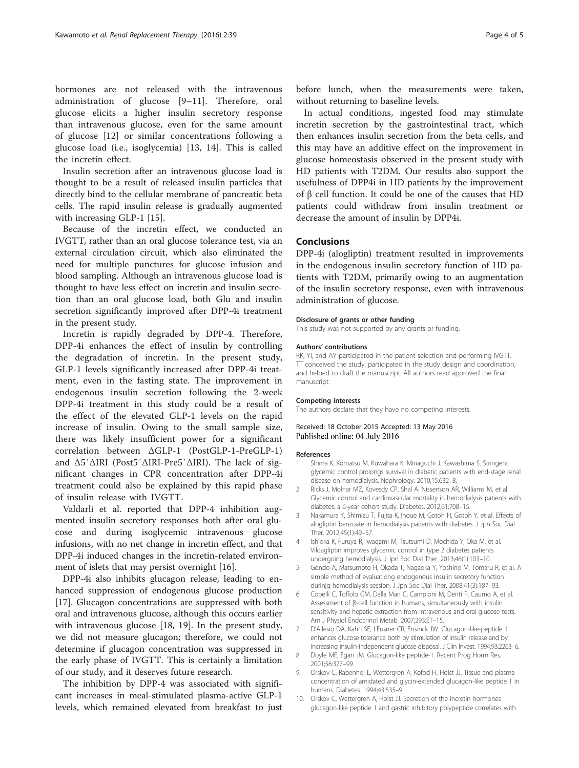<span id="page-3-0"></span>hormones are not released with the intravenous administration of glucose [9–[11\]](#page-4-0). Therefore, oral glucose elicits a higher insulin secretory response than intravenous glucose, even for the same amount of glucose [\[12](#page-4-0)] or similar concentrations following a glucose load (i.e., isoglycemia) [\[13](#page-4-0), [14](#page-4-0)]. This is called the incretin effect.

Insulin secretion after an intravenous glucose load is thought to be a result of released insulin particles that directly bind to the cellular membrane of pancreatic beta cells. The rapid insulin release is gradually augmented with increasing GLP-1 [[15\]](#page-4-0).

Because of the incretin effect, we conducted an IVGTT, rather than an oral glucose tolerance test, via an external circulation circuit, which also eliminated the need for multiple punctures for glucose infusion and blood sampling. Although an intravenous glucose load is thought to have less effect on incretin and insulin secretion than an oral glucose load, both Glu and insulin secretion significantly improved after DPP-4i treatment in the present study.

Incretin is rapidly degraded by DPP-4. Therefore, DPP-4i enhances the effect of insulin by controlling the degradation of incretin. In the present study, GLP-1 levels significantly increased after DPP-4i treatment, even in the fasting state. The improvement in endogenous insulin secretion following the 2-week DPP-4i treatment in this study could be a result of the effect of the elevated GLP-1 levels on the rapid increase of insulin. Owing to the small sample size, there was likely insufficient power for a significant correlation between ΔGLP-1 (PostGLP-1-PreGLP-1) and Δ5′ΔIRI (Post5′ΔIRI-Pre5′ΔIRI). The lack of significant changes in CPR concentration after DPP-4i treatment could also be explained by this rapid phase of insulin release with IVGTT.

Valdarli et al. reported that DPP-4 inhibition augmented insulin secretory responses both after oral glucose and during isoglycemic intravenous glucose infusions, with no net change in incretin effect, and that DPP-4i induced changes in the incretin-related environment of islets that may persist overnight [\[16](#page-4-0)].

DPP-4i also inhibits glucagon release, leading to enhanced suppression of endogenous glucose production [[17\]](#page-4-0). Glucagon concentrations are suppressed with both oral and intravenous glucose, although this occurs earlier with intravenous glucose [[18, 19](#page-4-0)]. In the present study, we did not measure glucagon; therefore, we could not determine if glucagon concentration was suppressed in the early phase of IVGTT. This is certainly a limitation of our study, and it deserves future research.

The inhibition by DPP-4 was associated with significant increases in meal-stimulated plasma-active GLP-1 levels, which remained elevated from breakfast to just

before lunch, when the measurements were taken, without returning to baseline levels.

In actual conditions, ingested food may stimulate incretin secretion by the gastrointestinal tract, which then enhances insulin secretion from the beta cells, and this may have an additive effect on the improvement in glucose homeostasis observed in the present study with HD patients with T2DM. Our results also support the usefulness of DPP4i in HD patients by the improvement of β cell function. It could be one of the causes that HD patients could withdraw from insulin treatment or decrease the amount of insulin by DPP4i.

#### Conclusions

DPP-4i (alogliptin) treatment resulted in improvements in the endogenous insulin secretory function of HD patients with T2DM, primarily owing to an augmentation of the insulin secretory response, even with intravenous administration of glucose.

#### Disclosure of grants or other funding

This study was not supported by any grants or funding.

#### Authors' contributions

RK, YI, and AY participated in the patient selection and performing IVGTT. TT conceived the study, participated in the study design and coordination, and helped to draft the manuscript. All authors read approved the final manuscript.

#### Competing interests

The authors declare that they have no competing interests.

#### Received: 18 October 2015 Accepted: 13 May 2016 Published online: 04 July 2016

#### References

- 1. Shima K, Komatsu M, Kuwahara K, Minaguchi J, Kawashima S. Stringent glycemic control prolongs survival in diabetic patients with end-stage renal disease on hemodialysis. Nephrology. 2010;15:632–8.
- 2. Ricks J, Molnar MZ, Kovesdy CP, Shal A, Nissenson AR, Williams M, et al. Glycemic control and cardiovascular mortality in hemodialysis patients with diabetes: a 6-year cohort study. Diabetes. 2012;61:708–15.
- 3. Nakamura Y, Shimizu T, Fujita K, Inoue M, Gotoh H, Gotoh Y, et al. Effects of alogliptin benzoate in hemodialysis patients with diabetes. J Jpn Soc Dial Ther. 2012;45(1):49–57.
- 4. Ishioka K, Furuya R, Iwagami M, Tsutsumi D, Mochida Y, Oka M, et al. Vildagliptin improves glycemic control in type 2 diabetes patients undergoing hemodialysis. J Jpn Soc Dial Ther. 2013;46(1):103–10.
- 5. Gondo A, Matsumoto H, Okada T, Nagaoka Y, Yoshino M, Tomaru R, et al. A simple method of evaluationg endogenous insulin secretory function durinjg hemodialysis session. J Jpn Soc Dial Ther. 2008;41(3):187–93.
- 6. Cobelli C, Toffolo GM, Dalla Man C, Campioni M, Denti P, Caumo A, et al. Assessment of β-cell function in humans, simultaneously with insulin sensitivity and hepatic extraction from intravenous and oral glucose tests. Am J Physiol Endocrinol Metab. 2007;293:E1–15.
- 7. D'Allesio DA, Kahn SE, LEusner CR, Ensinck JW. Glucagon-like-peptide 1 enhances glucose tolerance both by stimulation of insulin release and by increasing insulin-independent glucose disposal. J Clin Invest. 1994;93:2263–6.
- 8. Doyle ME, Egan JM. Glucagon-like peptide-1. Recent Prog Horm Res. 2001;56:377–99.
- 9. Orskov C, Rabenhoj L, Wettergren A, Kofod H, Holst JJ. Tissue and plasma concentration of amidated and glycin-extended glucagon-like peptide 1 in humans. Diabetes. 1994;43:535–9.
- 10. Orskov C, Wettergren A, Holst JJ. Secretion of the incretin hormones glucagon-like peptide 1 and gastric inhibitory polypeptide correlates with